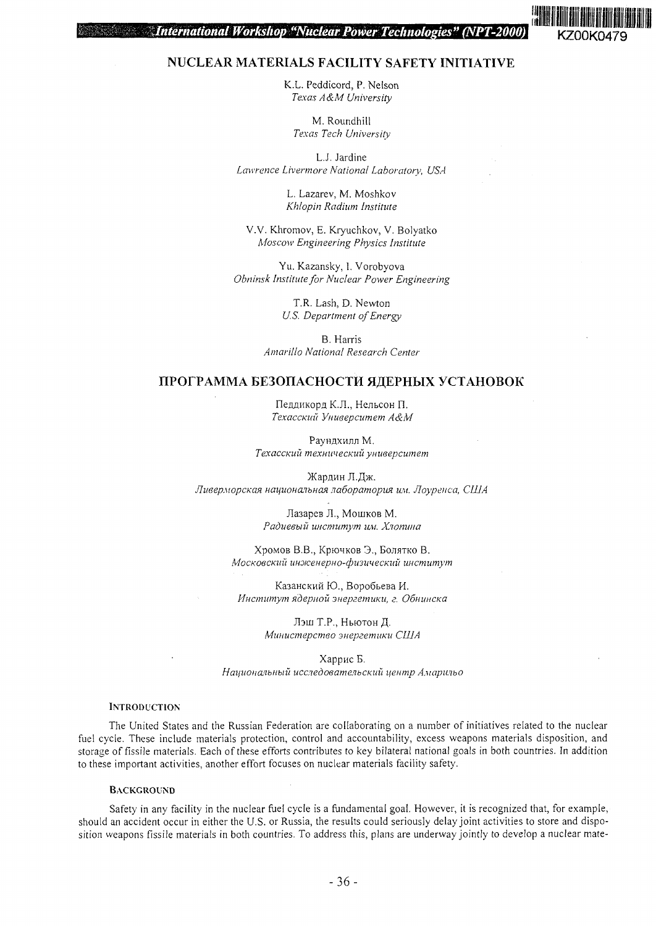# *International'Workshop> "Nuclear Pbwet-Technologies" (NPT-2000)* KZ00K0479

NUCLEAR MATERIALS FACILITY SAFETY INITIATIVE

K.L. Peddicord, P. Nelson *Texas A&M University*

M. Roundhill *Texas Tech University*

L.J. Jardine *Lawrence Livennore National Laboratory, USA*

> L. Lazarev, M. Moshkov *Khlopin Radium Institute*

V.V. Khromov, E. Kryuchkov, V. Bolyatko *Moscow Engineering Physics Institute*

Yu. Kazansky, I. Vorobyova *Obninsk Institute for Nuclear Power Engineering*

> T.R. Lash, D. Newton *U.S. Department of Energy*

B. Harris *Amarillo National Research Center*

## ПРОГРАММА БЕЗОПАСНОСТИ ЯДЕРНЫХ УСТАНОВОК

Педдикорд К.Л., Нельсон П. *Техасский Университет А&М*

Раундхилл М. *Техасский технический университет*

Жардин Л.Дж. *Ливерморская национальная лаборатория mi. Лоуренса, США*

> Лазарев Л., Мошков М. *Радиевый институт им. Хлопина*

Хромов В.В., Крючков Э., Болятко В. *Московский инженерно-физический институт*

Казанский Ю., Воробьева И. *Институт ядерной энергетики, г. Обнинска*

> Лэш Т.Р., Ньютон Д. *Министерство энергетики США*

Харрис Б. *Национальный исследовательский центр Амарилъо*

### **INTRODUCTION**

The United States and the Russian Federation are collaborating on a number of initiatives related to the nuclear fuel cycle. These include materials protection, control and accountability, excess weapons materials disposition, and storage of fissile materials. Each of these efforts contributes to key bilateral national goals in both countries. In addition to these important activities, another effort focuses on nuclear materials facility safety.

### **BACKGROUND**

Safety in any facility in the nuclear fuel cycle is a fundamental goal. However, it is recognized that, for example, should an accident occur in either the U.S. or Russia, the results could seriously delay joint activities to store and dispo sition weapons fissile materials in both countries. To address this, plans are underway jointly to develop a nuclear mate